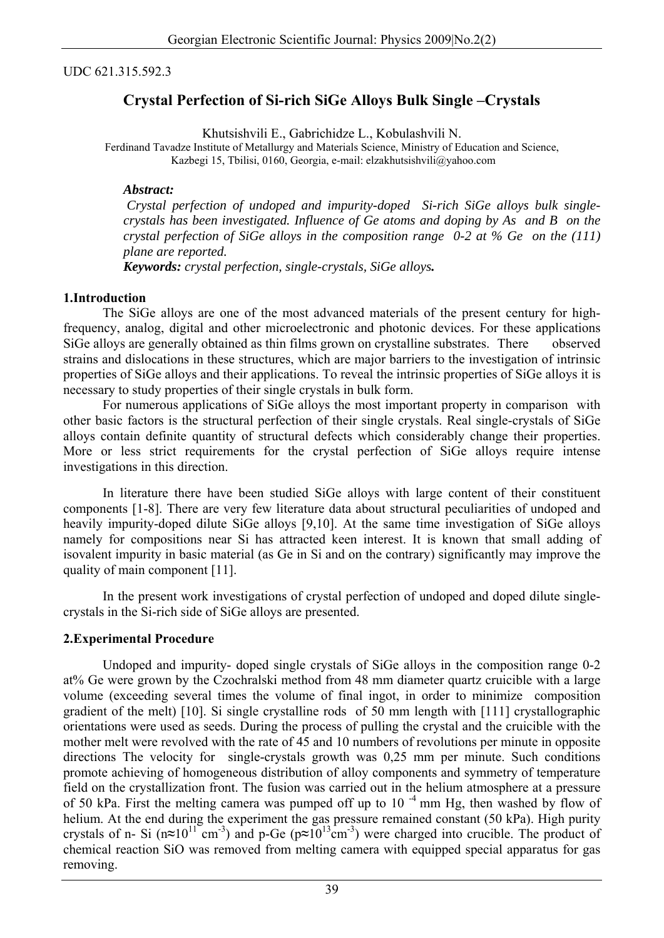#### UDC 621.315.592.3

# **Crystal Perfection of Si-rich SiGe Alloys Bulk Single –Crystals**

Khutsishvili E., Gabrichidze L., Kobulashvili N.

Ferdinand Tavadze Institute of Metallurgy and Materials Science, Ministry of Education and Science, Kazbegi 15, Tbilisi, 0160, Georgia, e-mail: elzakhutsishvili@yahoo.com

#### *Abstract:*

 *Crystal perfection of undoped and impurity-doped Si-rich SiGe alloys bulk singlecrystals has been investigated. Influence of Ge atoms and doping by As and B on the crystal perfection of SiGe alloys in the composition range 0-2 at % Ge on the (111) plane are reported.*

*Keywords: crystal perfection, single-crystals, SiGe alloys.* 

#### **1.Introduction**

 The SiGe alloys are one of the most advanced materials of the present century for highfrequency, analog, digital and other microelectronic and photonic devices. For these applications SiGe alloys are generally obtained as thin films grown on crystalline substrates. There observed strains and dislocations in these structures, which are major barriers to the investigation of intrinsic properties of SiGe alloys and their applications. To reveal the intrinsic properties of SiGe alloys it is necessary to study properties of their single crystals in bulk form.

 For numerous applications of SiGe alloys the most important property in comparison with other basic factors is the structural perfection of their single crystals. Real single-crystals of SiGe alloys contain definite quantity of structural defects which considerably change their properties. More or less strict requirements for the crystal perfection of SiGe alloys require intense investigations in this direction.

 In literature there have been studied SiGe alloys with large content of their constituent components [1-8]. There are very few literature data about structural peculiarities of undoped and heavily impurity-doped dilute SiGe alloys [9,10]. At the same time investigation of SiGe alloys namely for compositions near Si has attracted keen interest. It is known that small adding of isovalent impurity in basic material (as Ge in Si and on the contrary) significantly may improve the quality of main component [11].

 In the present work investigations of crystal perfection of undoped and doped dilute singlecrystals in the Si-rich side of SiGe alloys are presented.

## **2.Experimental Procedure**

 Undoped and impurity- doped single crystals of SiGe alloys in the composition range 0-2 at% Ge were grown by the Czochralski method from 48 mm diameter quartz cruicible with a large volume (exceeding several times the volume of final ingot, in order to minimize composition gradient of the melt) [10]. Si single crystalline rods of 50 mm length with [111] crystallographic orientations were used as seeds. During the process of pulling the crystal and the cruicible with the mother melt were revolved with the rate of 45 and 10 numbers of revolutions per minute in opposite directions The velocity for single-crystals growth was 0,25 mm per minute. Such conditions promote achieving of homogeneous distribution of alloy components and symmetry of temperature field on the crystallization front. The fusion was carried out in the helium atmosphere at a pressure of 50 kPa. First the melting camera was pumped off up to  $10^{-4}$  mm Hg, then washed by flow of helium. At the end during the experiment the gas pressure remained constant (50 kPa). High purity crystals of n- Si ( $n \approx 10^{11}$  cm<sup>-3</sup>) and p-Ge ( $p \approx 10^{13}$  cm<sup>-3</sup>) were charged into crucible. The product of chemical reaction SiO was removed from melting camera with equipped special apparatus for gas removing.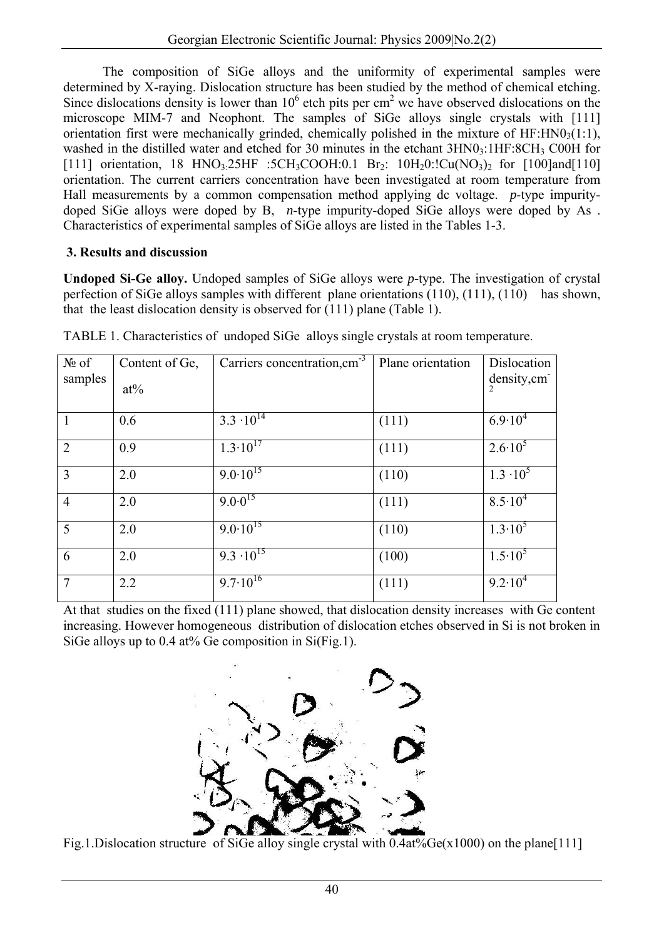The composition of SiGe alloys and the uniformity of experimental samples were determined by X-raying. Dislocation structure has been studied by the method of chemical etching. Since dislocations density is lower than  $10<sup>6</sup>$  etch pits per cm<sup>2</sup> we have observed dislocations on the microscope MIM-7 and Neophont. The samples of SiGe alloys single crystals with [111] orientation first were mechanically grinded, chemically polished in the mixture of HF:HN0 $_3(1:1)$ , washed in the distilled water and etched for 30 minutes in the etchant  $3HNO<sub>3</sub>:1HF:8CH<sub>3</sub> COOH$  for [111] orientation, 18 HNO<sub>3</sub>:25HF :5CH<sub>3</sub>COOH:0.1 Br<sub>2</sub>: 10H<sub>2</sub>0:!Cu(NO<sub>3</sub>)<sub>2</sub> for [100]and[110] orientation. The current carriers concentration have been investigated at room temperature from Hall measurements by a common compensation method applying dc voltage. *p*-type impuritydoped SiGe alloys were doped by B, *n*-type impurity-doped SiGe alloys were doped by As . Characteristics of experimental samples of SiGe alloys are listed in the Tables 1-3.

# **[3. Results and discussion](http://www.sciencedirect.com/science?_ob=ArticleURL&_udi=B6TXF-44YVPGS-24&_user=10&_coverDate=02%2F14%2F2002&_rdoc=1&_fmt=full&_orig=search&_cdi=5589&_sort=d&_docanchor=&view=c&_acct=C000050221&_version=1&_urlVersion=0&_userid=10&md5=45f475525f)**

**Undoped Si-Ge alloy.** Undoped samples of SiGe alloys were *p-*type. The investigation of crystal perfection of SiGe alloys samples with different plane orientations (110), (111), (110) has shown, that the least dislocation density is observed for (111) plane (Table 1).

| $N_2$ of<br>samples | Content of Ge,<br>$at\%$ | Carriers concentration, cm <sup>-3</sup> | Plane orientation | Dislocation<br>density, cm<br>$\overline{2}$ |
|---------------------|--------------------------|------------------------------------------|-------------------|----------------------------------------------|
| $\overline{1}$      | 0.6                      | $3.3 \cdot 10^{14}$                      | (111)             | $6.9 \cdot 10^4$                             |
| 2                   | 0.9                      | $1.3 \cdot 10^{17}$                      | (111)             | $2.6 \cdot 10^5$                             |
| $\overline{3}$      | 2.0                      | $9.0 \cdot 10^{15}$                      | (110)             | $1.3 \cdot 10^5$                             |
| $\overline{4}$      | 2.0                      | $9.0\cdot 0^{15}$                        | (111)             | $8.5 \cdot 10^4$                             |
| $5\overline{)}$     | 2.0                      | $9.0 \cdot 10^{15}$                      | (110)             | $1.3 \cdot 10^5$                             |
| 6                   | 2.0                      | $9.3 \cdot 10^{15}$                      | (100)             | $1.5 \cdot 10^5$                             |
| $\overline{7}$      | 2.2                      | $9.7 \cdot 10^{16}$                      | (111)             | $9.2 \cdot 10^4$                             |

TABLE 1. Characteristics of undoped SiGe alloys single crystals at room temperature.

At that studies on the fixed (111) plane showed, that dislocation density increases with Ge content increasing. However homogeneous distribution of dislocation etches observed in Si is not broken in SiGe alloys up to 0.4 at% Ge composition in Si(Fig.1).



Fig.1.Dislocation structure of SiGe alloy single crystal with 0.4at%Ge(x1000) on the plane[111]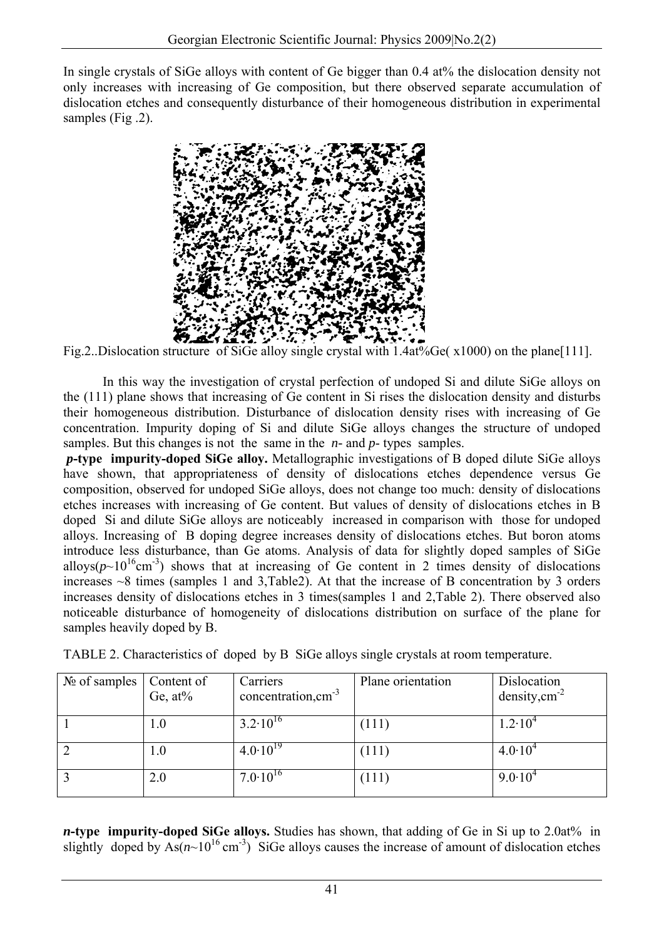In single crystals of SiGe alloys with content of Ge bigger than 0.4 at% the dislocation density not only increases with increasing of Ge composition, but there observed separate accumulation of dislocation etches and consequently disturbance of their homogeneous distribution in experimental samples (Fig .2).



Fig.2..Dislocation structure of SiGe alloy single crystal with 1.4at%Ge( $x1000$ ) on the plane[111].

 In this way the investigation of crystal perfection of undoped Si and dilute SiGe alloys on the (111) plane shows that increasing of Ge content in Si rises the dislocation density and disturbs their homogeneous distribution. Disturbance of dislocation density rises with increasing of Ge concentration. Impurity doping of Si and dilute SiGe alloys changes the structure of undoped samples. But this changes is not the same in the *n-* and *p*- types samples.

 *p***-type impurity-doped SiGe alloy.** Metallographic investigations of B doped dilute SiGe alloys have shown, that appropriateness of density of dislocations etches dependence versus Ge composition, observed for undoped SiGe alloys, does not change too much: density of dislocations etches increases with increasing of Ge content. But values of density of dislocations etches in B doped Si and dilute SiGe alloys are noticeably increased in comparison with those for undoped alloys. Increasing of B doping degree increases density of dislocations etches. But boron atoms introduce less disturbance, than Ge atoms. Analysis of data for slightly doped samples of SiGe alloys( $p \sim 10^{16}$ cm<sup>-3</sup>) shows that at increasing of Ge content in 2 times density of dislocations increases  $\sim$ 8 times (samples 1 and 3.Table2). At that the increase of B concentration by 3 orders increases density of dislocations etches in 3 times(samples 1 and 2,Table 2). There observed also noticeable disturbance of homogeneity of dislocations distribution on surface of the plane for samples heavily doped by B.

| $N_2$ of samples | Content of<br>Ge, $at\%$ | Carriers<br>concentration, $cm^{-3}$ | Plane orientation | Dislocation<br>density, $cm2$ |
|------------------|--------------------------|--------------------------------------|-------------------|-------------------------------|
|                  | 1.0                      | $3.2 \cdot 10^{16}$                  | (111)             | $1.2 \cdot 10^4$              |
|                  | 1.0                      | $4.0 \cdot 10^{19}$                  | (111)             | $4.0 \cdot 10^{4}$            |
|                  | 2.0                      | $7.0 \cdot 10^{16}$                  | (111)             | $9.0 \cdot 10^{4}$            |

TABLE 2. Characteristics of doped by B SiGe alloys single crystals at room temperature.

*n***-type impurity-doped SiGe alloys.** Studies has shown, that adding of Ge in Si up to 2.0at% in slightly doped by  $As(n\sim10^{16} \text{ cm}^{-3})$  SiGe alloys causes the increase of amount of dislocation etches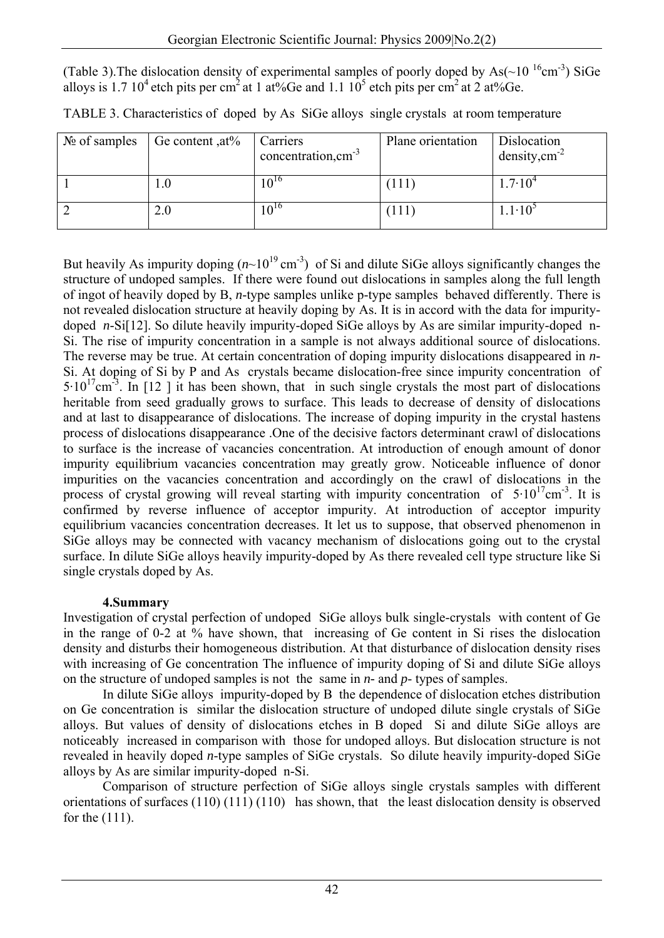(Table 3). The dislocation density of experimental samples of poorly doped by As( $\sim$ 10<sup>16</sup>cm<sup>-3</sup>) SiGe alloys is 1.7 10<sup>4</sup> etch pits per cm<sup>2</sup> at 1 at%Ge and 1.1 10<sup>5</sup> etch pits per cm<sup>2</sup> at 2 at%Ge.

| $\mathcal{N}_{\mathfrak{D}}$ of samples | Ge content, $at\%$ | Carriers<br>concentration, $cm^{-3}$ | Plane orientation | Dislocation<br>density, $cm^{-2}$ |
|-----------------------------------------|--------------------|--------------------------------------|-------------------|-----------------------------------|
|                                         |                    | $10^{16}$                            | (111)             | $1.7 \cdot 10^4$                  |
|                                         | 2.0                | $10^{16}$                            | (111)             | $1.1 \cdot 10^3$                  |

TABLE 3. Characteristics of doped by As SiGe alloys single crystals at room temperature

But heavily As impurity doping  $(n\sim10^{19} \text{ cm}^3)$  of Si and dilute SiGe alloys significantly changes the structure of undoped samples. If there were found out dislocations in samples along the full length of ingot of heavily doped by B, *n*-type samples unlike p-type samples behaved differently. There is not revealed dislocation structure at heavily doping by As. It is in accord with the data for impuritydoped *n*-Si[12]. So dilute heavily impurity-doped SiGe alloys by As are similar impurity-doped n-Si. The rise of impurity concentration in a sample is not always additional source of dislocations. The reverse may be true. At certain concentration of doping impurity dislocations disappeared in *n-*Si. At doping of Si by P and As crystals became dislocation-free since impurity concentration of  $5.10^{17}$ cm<sup>-3</sup>. In [12 ] it has been shown, that in such single crystals the most part of dislocations heritable from seed gradually grows to surface. This leads to decrease of density of dislocations and at last to disappearance of dislocations. The increase of doping impurity in the crystal hastens process of dislocations disappearance .One of the decisive factors determinant crawl of dislocations to surface is the increase of vacancies concentration. At introduction of enough amount of donor impurity equilibrium vacancies concentration may greatly grow. Noticeable influence of donor impurities on the vacancies concentration and accordingly on the crawl of dislocations in the process of crystal growing will reveal starting with impurity concentration of  $5.10^{17}$ cm<sup>-3</sup>. It is confirmed by reverse influence of acceptor impurity. At introduction of acceptor impurity equilibrium vacancies concentration decreases. It let us to suppose, that observed phenomenon in SiGe alloys may be connected with vacancy mechanism of dislocations going out to the crystal surface. In dilute SiGe alloys heavily impurity-doped by As there revealed cell type structure like Si single crystals doped by As.

## **4.Summary**

Investigation of crystal perfection of undoped SiGe alloys bulk single-crystals with content of Ge in the range of 0-2 at % have shown, that increasing of Ge content in Si rises the dislocation density and disturbs their homogeneous distribution. At that disturbance of dislocation density rises with increasing of Ge concentration The influence of impurity doping of Si and dilute SiGe alloys on the structure of undoped samples is not the same in *n-* and *p*- types of samples.

In dilute SiGe alloys impurity-doped by B the dependence of dislocation etches distribution on Ge concentration is similar the dislocation structure of undoped dilute single crystals of SiGe alloys. But values of density of dislocations etches in B doped Si and dilute SiGe alloys are noticeably increased in comparison with those for undoped alloys. But dislocation structure is not revealed in heavily doped *n*-type samples of SiGe crystals. So dilute heavily impurity-doped SiGe alloys by As are similar impurity-doped n-Si.

Comparison of structure perfection of SiGe alloys single crystals samples with different orientations of surfaces (110) (111) (110) has shown, that the least dislocation density is observed for the (111).